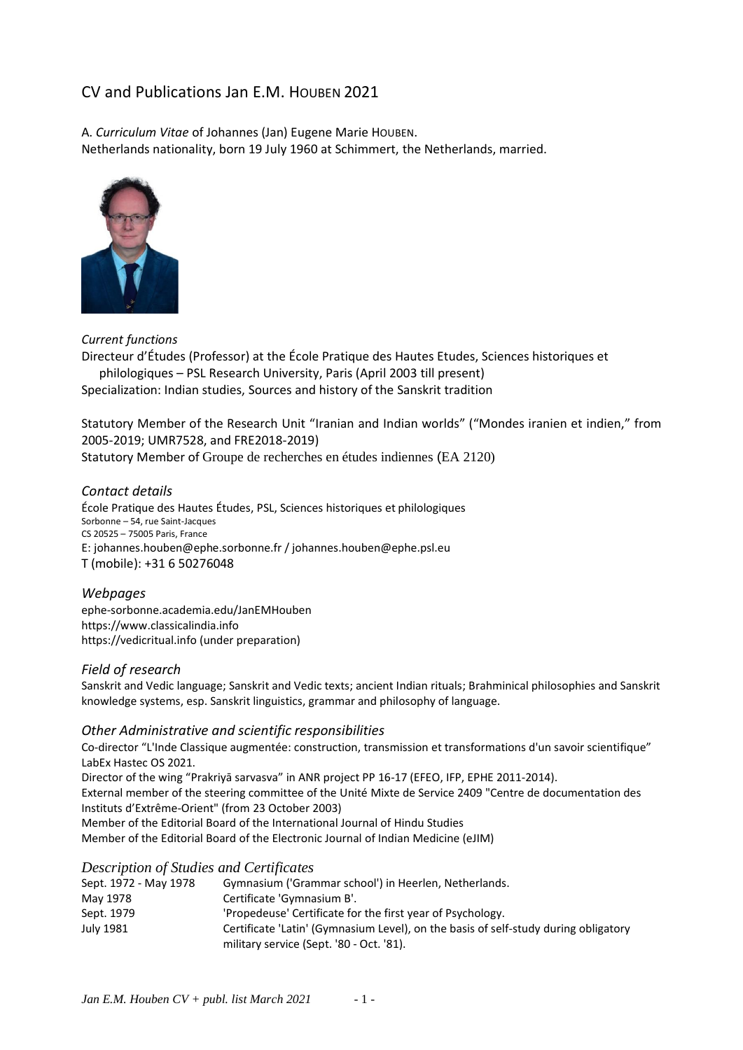# CV and Publications Jan E.M. HOUBEN 2021

A. *Curriculum Vitae* of Johannes (Jan) Eugene Marie HOUBEN. Netherlands nationality, born 19 July 1960 at Schimmert, the Netherlands, married.



### *Current functions*

Directeur d'Études (Professor) at the École Pratique des Hautes Etudes, Sciences historiques et philologiques – PSL Research University, Paris (April 2003 till present)

Specialization: Indian studies, Sources and history of the Sanskrit tradition

Statutory Member of the Research Unit "Iranian and Indian worlds" ("Mondes iranien et indien," from 2005-2019; UMR7528, and FRE2018-2019) Statutory Member of Groupe de recherches en études indiennes (EA 2120)

### *Contact details*

École Pratique des Hautes Études, PSL, Sciences historiques et philologiques Sorbonne – 54, rue Saint-Jacques CS 20525 – 75005 Paris, France E: johannes.houben@ephe.sorbonne.fr / johannes.houben@ephe.psl.eu T (mobile): +31 6 50276048

### *Webpages*

ephe-sorbonne.academia.edu/JanEMHouben https://www.classicalindia.info https://vedicritual.info (under preparation)

#### *Field of research*

Sanskrit and Vedic language; Sanskrit and Vedic texts; ancient Indian rituals; Brahminical philosophies and Sanskrit knowledge systems, esp. Sanskrit linguistics, grammar and philosophy of language.

#### *Other Administrative and scientific responsibilities*

Co-director "L'Inde Classique augmentée: construction, transmission et transformations d'un savoir scientifique" LabEx Hastec OS 2021. Director of the wing "Prakriyā sarvasva" in ANR project PP 16-17 (EFEO, IFP, EPHE 2011-2014). External member of the steering committee of the Unité Mixte de Service 2409 "Centre de documentation des Instituts d'Extrême-Orient" (from 23 October 2003)

Member of the Editorial Board of the International Journal of Hindu Studies

Member of the Editorial Board of the Electronic Journal of Indian Medicine (eJIM)

#### *Description of Studies and Certificates*

| Sept. 1972 - May 1978 | Gymnasium ('Grammar school') in Heerlen, Netherlands.                               |
|-----------------------|-------------------------------------------------------------------------------------|
| May 1978              | Certificate 'Gymnasium B'.                                                          |
| Sept. 1979            | 'Propedeuse' Certificate for the first year of Psychology.                          |
| July 1981             | Certificate 'Latin' (Gymnasium Level), on the basis of self-study during obligatory |
|                       | military service (Sept. '80 - Oct. '81).                                            |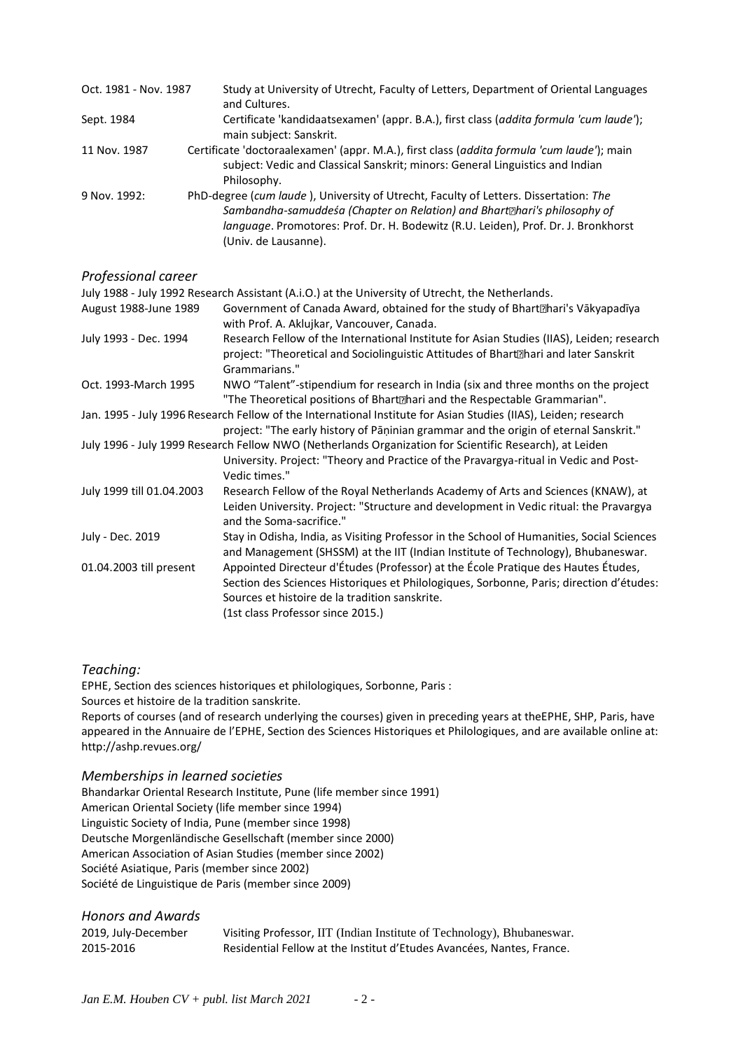| Oct. 1981 - Nov. 1987 | Study at University of Utrecht, Faculty of Letters, Department of Oriental Languages<br>and Cultures.                                                                                                                                                                                     |
|-----------------------|-------------------------------------------------------------------------------------------------------------------------------------------------------------------------------------------------------------------------------------------------------------------------------------------|
| Sept. 1984            | Certificate 'kandidaatsexamen' (appr. B.A.), first class (addita formula 'cum laude');<br>main subject: Sanskrit.                                                                                                                                                                         |
| 11 Nov. 1987          | Certificate 'doctoraalexamen' (appr. M.A.), first class (addita formula 'cum laude'); main<br>subject: Vedic and Classical Sanskrit; minors: General Linguistics and Indian<br>Philosophy.                                                                                                |
| 9 Nov. 1992:          | PhD-degree (cum laude), University of Utrecht, Faculty of Letters. Dissertation: The<br>Sambandha-samuddeśa (Chapter on Relation) and Bhart <sup>hari's</sup> philosophy of<br>language. Promotores: Prof. Dr. H. Bodewitz (R.U. Leiden), Prof. Dr. J. Bronkhorst<br>(Univ. de Lausanne). |

### *Professional career*

|                           | July 1988 - July 1992 Research Assistant (A.i.O.) at the University of Utrecht, the Netherlands.                                                                                                                                                                    |
|---------------------------|---------------------------------------------------------------------------------------------------------------------------------------------------------------------------------------------------------------------------------------------------------------------|
| August 1988-June 1989     | Government of Canada Award, obtained for the study of Bhart [anari's Vakyapadiya]<br>with Prof. A. Aklujkar, Vancouver, Canada.                                                                                                                                     |
| July 1993 - Dec. 1994     | Research Fellow of the International Institute for Asian Studies (IIAS), Leiden; research<br>project: "Theoretical and Sociolinguistic Attitudes of Bhart <sup>m</sup> hari and later Sanskrit<br>Grammarians."                                                     |
| Oct. 1993-March 1995      | NWO "Talent"-stipendium for research in India (six and three months on the project<br>"The Theoretical positions of Bhart <sup>®</sup> hari and the Respectable Grammarian".                                                                                        |
|                           | Jan. 1995 - July 1996 Research Fellow of the International Institute for Asian Studies (IIAS), Leiden; research<br>project: "The early history of Pāṇinian grammar and the origin of eternal Sanskrit."                                                             |
|                           | July 1996 - July 1999 Research Fellow NWO (Netherlands Organization for Scientific Research), at Leiden<br>University. Project: "Theory and Practice of the Pravargya-ritual in Vedic and Post-<br>Vedic times."                                                    |
| July 1999 till 01.04.2003 | Research Fellow of the Royal Netherlands Academy of Arts and Sciences (KNAW), at<br>Leiden University. Project: "Structure and development in Vedic ritual: the Pravargya<br>and the Soma-sacrifice."                                                               |
| July - Dec. 2019          | Stay in Odisha, India, as Visiting Professor in the School of Humanities, Social Sciences<br>and Management (SHSSM) at the IIT (Indian Institute of Technology), Bhubaneswar.                                                                                       |
| 01.04.2003 till present   | Appointed Directeur d'Études (Professor) at the École Pratique des Hautes Études,<br>Section des Sciences Historiques et Philologiques, Sorbonne, Paris; direction d'études:<br>Sources et histoire de la tradition sanskrite.<br>(1st class Professor since 2015.) |

### *Teaching:*

EPHE, Section des sciences historiques et philologiques, Sorbonne, Paris : Sources et histoire de la tradition sanskrite.

Reports of courses (and of research underlying the courses) given in preceding years at theEPHE, SHP, Paris, have appeared in the Annuaire de l'EPHE, Section des Sciences Historiques et Philologiques, and are available online at: http://ashp.revues.org/

# *Memberships in learned societies*

Bhandarkar Oriental Research Institute, Pune (life member since 1991) American Oriental Society (life member since 1994) Linguistic Society of India, Pune (member since 1998) Deutsche Morgenländische Gesellschaft (member since 2000) American Association of Asian Studies (member since 2002) Société Asiatique, Paris (member since 2002) Société de Linguistique de Paris (member since 2009)

# *Honors and Awards*

| 2019, July-December | Visiting Professor, IIT (Indian Institute of Technology), Bhubaneswar. |
|---------------------|------------------------------------------------------------------------|
| 2015-2016           | Residential Fellow at the Institut d'Etudes Avancées, Nantes, France.  |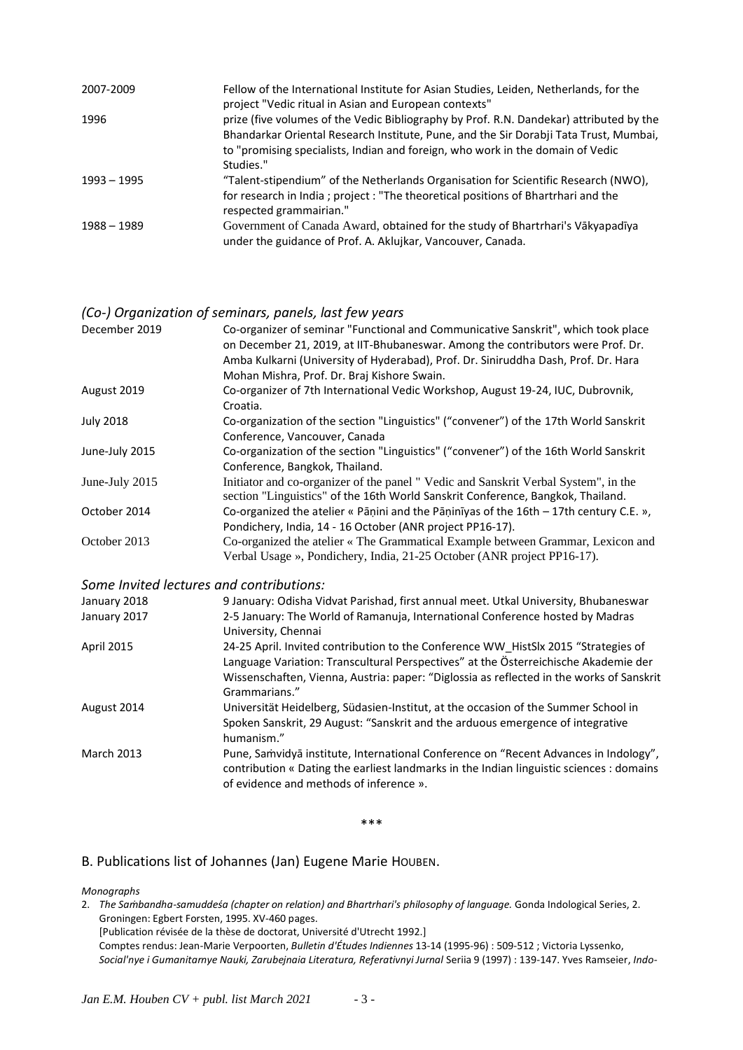| 2007-2009     | Fellow of the International Institute for Asian Studies, Leiden, Netherlands, for the<br>project "Vedic ritual in Asian and European contexts"                                                                                                                                  |
|---------------|---------------------------------------------------------------------------------------------------------------------------------------------------------------------------------------------------------------------------------------------------------------------------------|
| 1996          | prize (five volumes of the Vedic Bibliography by Prof. R.N. Dandekar) attributed by the<br>Bhandarkar Oriental Research Institute, Pune, and the Sir Dorabji Tata Trust, Mumbai,<br>to "promising specialists, Indian and foreign, who work in the domain of Vedic<br>Studies." |
| $1993 - 1995$ | "Talent-stipendium" of the Netherlands Organisation for Scientific Research (NWO),<br>for research in India; project: "The theoretical positions of Bhartrhari and the<br>respected grammairian."                                                                               |
| 1988 - 1989   | Government of Canada Award, obtained for the study of Bhartrhari's Vākyapadīya<br>under the guidance of Prof. A. Aklujkar, Vancouver, Canada.                                                                                                                                   |

### *(Co-) Organization of seminars, panels, last few years*

| December 2019    | Co-organizer of seminar "Functional and Communicative Sanskrit", which took place<br>on December 21, 2019, at IIT-Bhubaneswar. Among the contributors were Prof. Dr.<br>Amba Kulkarni (University of Hyderabad), Prof. Dr. Siniruddha Dash, Prof. Dr. Hara |
|------------------|------------------------------------------------------------------------------------------------------------------------------------------------------------------------------------------------------------------------------------------------------------|
|                  | Mohan Mishra, Prof. Dr. Braj Kishore Swain.                                                                                                                                                                                                                |
| August 2019      | Co-organizer of 7th International Vedic Workshop, August 19-24, IUC, Dubrovnik,<br>Croatia.                                                                                                                                                                |
| <b>July 2018</b> | Co-organization of the section "Linguistics" ("convener") of the 17th World Sanskrit<br>Conference, Vancouver, Canada                                                                                                                                      |
| June-July 2015   | Co-organization of the section "Linguistics" ("convener") of the 16th World Sanskrit<br>Conference, Bangkok, Thailand.                                                                                                                                     |
| June-July 2015   | Initiator and co-organizer of the panel " Vedic and Sanskrit Verbal System", in the<br>section "Linguistics" of the 16th World Sanskrit Conference, Bangkok, Thailand.                                                                                     |
| October 2014     | Co-organized the atelier « Pāṇini and the Pāṇinīyas of the $16th - 17th$ century C.E. »,<br>Pondichery, India, 14 - 16 October (ANR project PP16-17).                                                                                                      |
| October 2013     | Co-organized the atelier « The Grammatical Example between Grammar, Lexicon and<br>Verbal Usage », Pondichery, India, 21-25 October (ANR project PP16-17).                                                                                                 |
|                  | Some Invited lectures and contributions:                                                                                                                                                                                                                   |
| January 2018     | 9 January: Odisha Vidvat Parishad, first annual meet. Utkal University, Bhubaneswar                                                                                                                                                                        |
|                  |                                                                                                                                                                                                                                                            |

|              | יכווטומטונים ביווח כטימונטיו ואזוויטע                                                                                                                                                                                                         |
|--------------|-----------------------------------------------------------------------------------------------------------------------------------------------------------------------------------------------------------------------------------------------|
| January 2018 | 9 January: Odisha Vidvat Parishad, first annual meet. Utkal University, Bhubaneswar                                                                                                                                                           |
| January 2017 | 2-5 January: The World of Ramanuja, International Conference hosted by Madras                                                                                                                                                                 |
|              | University, Chennai                                                                                                                                                                                                                           |
| April 2015   | 24-25 April. Invited contribution to the Conference WW HistSlx 2015 "Strategies of                                                                                                                                                            |
|              | Language Variation: Transcultural Perspectives" at the Österreichische Akademie der<br>Wissenschaften, Vienna, Austria: paper: "Diglossia as reflected in the works of Sanskrit                                                               |
|              | Grammarians."                                                                                                                                                                                                                                 |
| August 2014  | Universität Heidelberg, Südasien-Institut, at the occasion of the Summer School in                                                                                                                                                            |
|              | $C_{11}$ , and $C_{21}$ , and $C_{11}$ and $C_{12}$ are solutional distribution of $C_{11}$ and $C_{12}$ are $C_{11}$ and $C_{12}$ are $C_{11}$ and $C_{12}$ are $C_{11}$ and $C_{12}$ are $C_{11}$ and $C_{12}$ are $C_{12}$ and $C_{12}$ ar |

Spoken Sanskrit, 29 August: "Sanskrit and the arduous emergence of integrative humanism." March 2013 Pune, Samvidya institute, International Conference on "Recent Advances in Indology", contribution « Dating the earliest landmarks in the Indian linguistic sciences : domains of evidence and methods of inference ».

\*\*\*

#### B. Publications list of Johannes (Jan) Eugene Marie HOUBEN.

*Monographs* 

2. *The Saṁbandha-samuddeśa (chapter on relation) and Bhartrhari's philosophy of language.* Gonda Indological Series, 2. Groningen: Egbert Forsten, 1995. XV-460 pages. [Publication révisée de la thèse de doctorat, Université d'Utrecht 1992.] Comptes rendus: Jean-Marie Verpoorten, *Bulletin d'Études Indiennes* 13-14 (1995-96) : 509-512 ; Victoria Lyssenko, *Social'nye i Gumanitarnye Nauki, Zarubejnaia Literatura, Referativnyi Jurnal* Seriia 9 (1997) : 139-147. Yves Ramseier, *Indo-*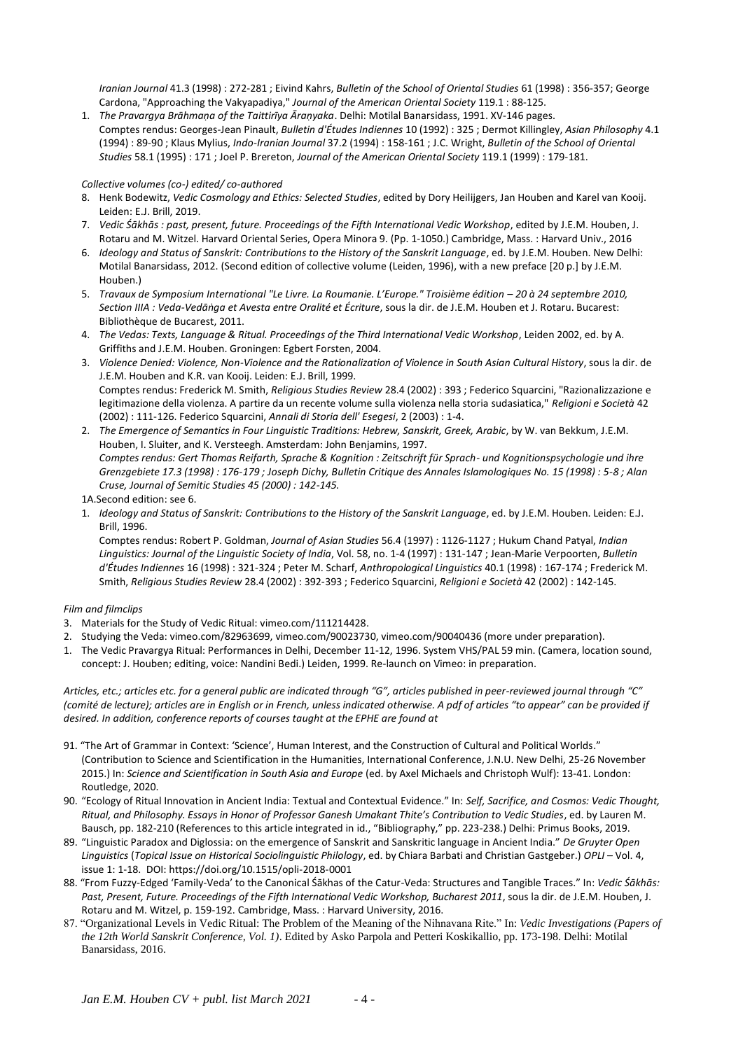*Iranian Journal* 41.3 (1998) : 272-281 ; Eivind Kahrs, *Bulletin of the School of Oriental Studies* 61 (1998) : 356-357; George Cardona, "Approaching the Vakyapadiya," *Journal of the American Oriental Society* 119.1 : 88-125.

1. *The Pravargya Brāhmaṇa of the Taittirīya Āraṇyaka*. Delhi: Motilal Banarsidass, 1991. XV-146 pages. Comptes rendus: Georges-Jean Pinault, *Bulletin d'Études Indiennes* 10 (1992) : 325 ; Dermot Killingley, *Asian Philosophy* 4.1 (1994) : 89-90 ; Klaus Mylius, *Indo-Iranian Journal* 37.2 (1994) : 158-161 ; J.C. Wright, *Bulletin of the School of Oriental Studies* 58.1 (1995) : 171 ; Joel P. Brereton, *Journal of the American Oriental Society* 119.1 (1999) : 179-181.

#### *Collective volumes (co-) edited/ co-authored*

- 8. Henk Bodewitz, *Vedic Cosmology and Ethics: Selected Studies*, edited by Dory Heilijgers, Jan Houben and Karel van Kooij. Leiden: E.J. Brill, 2019.
- 7. *Vedic Śākhās : past, present, future. Proceedings of the Fifth International Vedic Workshop*, edited by J.E.M. Houben, J. Rotaru and M. Witzel. Harvard Oriental Series, Opera Minora 9. (Pp. 1-1050.) Cambridge, Mass. : Harvard Univ., 2016
- 6. *Ideology and Status of Sanskrit: Contributions to the History of the Sanskrit Language*, ed. by J.E.M. Houben. New Delhi: Motilal Banarsidass, 2012. (Second edition of collective volume (Leiden, 1996), with a new preface [20 p.] by J.E.M. Houben.)
- 5. *Travaux de Symposium International "Le Livre. La Roumanie. L'Europe." Troisième édition – 20 à 24 septembre 2010, Section IIIA : Veda-Vedāṅga et Avesta entre Oralité et Écriture*, sous la dir. de J.E.M. Houben et J. Rotaru. Bucarest: Bibliothèque de Bucarest, 2011.
- 4. *The Vedas: Texts, Language & Ritual. Proceedings of the Third International Vedic Workshop*, Leiden 2002, ed. by A. Griffiths and J.E.M. Houben. Groningen: Egbert Forsten, 2004.
- 3. *Violence Denied: Violence, Non-Violence and the Rationalization of Violence in South Asian Cultural History*, sous la dir. de J.E.M. Houben and K.R. van Kooij. Leiden: E.J. Brill, 1999. Comptes rendus: Frederick M. Smith, *Religious Studies Review* 28.4 (2002) : 393 ; Federico Squarcini, "Razionalizzazione e legitimazione della violenza. A partire da un recente volume sulla violenza nella storia sudasiatica," *Religioni e Società* 42 (2002) : 111-126. Federico Squarcini, *Annali di Storia dell' Esegesi*, 2 (2003) : 1-4.
- 2. *The Emergence of Semantics in Four Linguistic Traditions: Hebrew, Sanskrit, Greek, Arabic*, by W. van Bekkum, J.E.M. Houben, I. Sluiter, and K. Versteegh. Amsterdam: John Benjamins, 1997. *Comptes rendus: Gert Thomas Reifarth, Sprache & Kognition : Zeitschrift für Sprach- und Kognitionspsychologie und ihre Grenzgebiete 17.3 (1998) : 176-179 ; Joseph Dichy, Bulletin Critique des Annales Islamologiques No. 15 (1998) : 5-8 ; Alan Cruse, Journal of Semitic Studies 45 (2000) : 142-145.*

1A.Second edition: see 6.

1. *Ideology and Status of Sanskrit: Contributions to the History of the Sanskrit Language*, ed. by J.E.M. Houben. Leiden: E.J. Brill, 1996.

Comptes rendus: Robert P. Goldman, *Journal of Asian Studies* 56.4 (1997) : 1126-1127 ; Hukum Chand Patyal, *Indian Linguistics: Journal of the Linguistic Society of India*, Vol. 58, no. 1-4 (1997) : 131-147 ; Jean-Marie Verpoorten, *Bulletin d'Études Indiennes* 16 (1998) : 321-324 ; Peter M. Scharf, *Anthropological Linguistics* 40.1 (1998) : 167-174 ; Frederick M. Smith, *Religious Studies Review* 28.4 (2002) : 392-393 ; Federico Squarcini, *Religioni e Società* 42 (2002) : 142-145.

#### *Film and filmclips*

- 3. Materials for the Study of Vedic Ritual: vimeo.com/111214428.
- 2. Studying the Veda: vimeo.com/82963699, vimeo.com/90023730, vimeo.com/90040436 (more under preparation).
- 1. The Vedic Pravargya Ritual: Performances in Delhi, December 11-12, 1996. System VHS/PAL 59 min. (Camera, location sound, concept: J. Houben; editing, voice: Nandini Bedi.) Leiden, 1999. Re-launch on Vimeo: in preparation.

*Articles, etc.; articles etc. for a general public are indicated through "G", articles published in peer-reviewed journal through "C" (comité de lecture); articles are in English or in French, unless indicated otherwise. A pdf of articles "to appear" can be provided if desired. In addition, conference reports of courses taught at the EPHE are found at*

- 91. "The Art of Grammar in Context: 'Science', Human Interest, and the Construction of Cultural and Political Worlds." (Contribution to Science and Scientification in the Humanities, International Conference, J.N.U. New Delhi, 25-26 November 2015.) In: *Science and Scientification in South Asia and Europe* (ed. by Axel Michaels and Christoph Wulf): 13-41. London: Routledge, 2020.
- 90. "Ecology of Ritual Innovation in Ancient India: Textual and Contextual Evidence." In: *Self, Sacrifice, and Cosmos: Vedic Thought, Ritual, and Philosophy. Essays in Honor of Professor Ganesh Umakant Thite's Contribution to Vedic Studies*, ed. by Lauren M. Bausch, pp. 182-210 (References to this article integrated in id., "Bibliography," pp. 223-238.) Delhi: Primus Books, 2019.
- 89. "Linguistic Paradox and Diglossia: on the emergence of Sanskrit and Sanskritic language in Ancient India." *De Gruyter Open Linguistics* (*Topical Issue on Historical Sociolinguistic Philology*, ed. by Chiara Barbati and Christian Gastgeber.) *OPLI* – Vol. 4, issue 1: 1-18. DOI: https://doi.org/10.1515/opli-2018-0001
- 88. "From Fuzzy-Edged 'Family-Veda' to the Canonical Śākhas of the Catur-Veda: Structures and Tangible Traces." In: *Vedic Śākhās: Past, Present, Future. Proceedings of the Fifth International Vedic Workshop, Bucharest 2011*, sous la dir. de J.E.M. Houben, J. Rotaru and M. Witzel, p. 159-192. Cambridge, Mass. : Harvard University, 2016.
- 87. "Organizational Levels in Vedic Ritual: The Problem of the Meaning of the Nihnavana Rite." In: *Vedic Investigations (Papers of the 12th World Sanskrit Conference, Vol. 1)*. Edited by Asko Parpola and Petteri Koskikallio, pp. 173-198. Delhi: Motilal Banarsidass, 2016.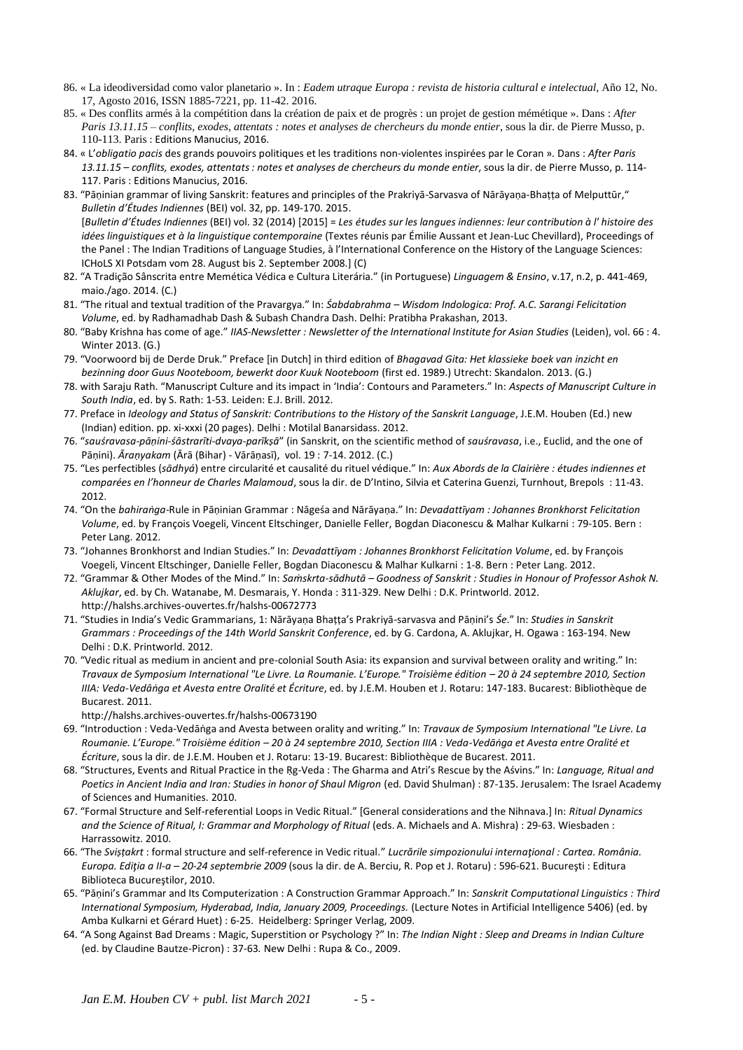- 86. « La ideodiversidad como valor planetario ». In : *Eadem utraque Europa : revista de historia cultural e intelectual,* Año 12, No. 17, Agosto 2016, ISSN 1885-7221, pp. 11-42. 2016.
- 85. « Des conflits armés à la compétition dans la création de paix et de progrès : un projet de gestion mémétique ». Dans : *After Paris 13.11.15 – conflits, exodes, attentats : notes et analyses de chercheurs du monde entier*, sous la dir. de Pierre Musso, p. 110-113. Paris : Editions Manucius, 2016.
- 84. « L'*obligatio pacis* des grands pouvoirs politiques et les traditions non-violentes inspirées par le Coran ». Dans : *After Paris 13.11.15 – conflits, exodes, attentats : notes et analyses de chercheurs du monde entier*, sous la dir. de Pierre Musso, p. 114- 117. Paris : Editions Manucius, 2016.
- 83. "Pāṇinian grammar of living Sanskrit: features and principles of the Prakriyā-Sarvasva of Nārāyaṇa-Bhaṭṭa of Melputtūr," *Bulletin d'Études Indiennes* (BEI) vol. 32, pp. 149-170. 2015. [*Bulletin d'Études Indiennes* (BEI) vol. 32 (2014) [2015] = *Les études sur les langues indiennes: leur contribution à l' histoire des idées linguistiques et à la linguistique contemporaine* (Textes réunis par Émilie Aussant et Jean-Luc Chevillard), Proceedings of the Panel : The Indian Traditions of Language Studies, à l'International Conference on the History of the Language Sciences: ICHoLS XI Potsdam vom 28. August bis 2. September 2008.] (C)
- 82. "A Tradição Sânscrita entre Memética Védica e Cultura Literária." (in Portuguese) *Linguagem & Ensino*, v.17, n.2, p. 441-469, maio./ago. 2014. (C.)
- 81. "The ritual and textual tradition of the Pravargya." In: *Śabdabrahma – Wisdom Indologica: Prof. A.C. Sarangi Felicitation Volume*, ed. by Radhamadhab Dash & Subash Chandra Dash. Delhi: Pratibha Prakashan, 2013.
- 80. "Baby Krishna has come of age." *IIAS-Newsletter : Newsletter of the International Institute for Asian Studies* (Leiden), vol. 66 : 4. Winter 2013. (G.)
- 79. "Voorwoord bij de Derde Druk." Preface [in Dutch] in third edition of *Bhagavad Gita: Het klassieke boek van inzicht en bezinning door Guus Nooteboom, bewerkt door Kuuk Nooteboom* (first ed. 1989.) Utrecht: Skandalon. 2013. (G.)
- 78. with Saraju Rath. "Manuscript Culture and its impact in 'India': Contours and Parameters." In: *Aspects of Manuscript Culture in South India*, ed. by S. Rath: 1-53. Leiden: E.J. Brill. 2012.
- 77. Preface in *Ideology and Status of Sanskrit: Contributions to the History of the Sanskrit Language*, J.E.M. Houben (Ed.) new (Indian) edition. pp. xi-xxxi (20 pages). Delhi : Motilal Banarsidass. 2012.
- 76. "*sauśravasa-pāṇini-śāstrarīti-dvaya-parīkṣā*" (in Sanskrit, on the scientific method of *sauśravasa*, i.e., Euclid, and the one of Pāṇini). *Āraṇyakam* (Ārā (Bihar) - Vārāṇasī), vol. 19 : 7-14. 2012. (C.)
- 75. "Les perfectibles (*sādhyá*) entre circularité et causalité du rituel védique." In: *Aux Abords de la Clairière : études indiennes et comparées en l'honneur de Charles Malamoud*, sous la dir. de D'Intino, Silvia et Caterina Guenzi, Turnhout, Brepols : 11-43. 2012.
- 74. "On the *bahiraṅga*-Rule in Pāṇinian Grammar : Nāgeśa and Nārāyaṇa." In: *Devadattīyam : Johannes Bronkhorst Felicitation Volume*, ed. by François Voegeli, Vincent Eltschinger, Danielle Feller, Bogdan Diaconescu & Malhar Kulkarni : 79-105. Bern : Peter Lang. 2012.
- 73. "Johannes Bronkhorst and Indian Studies." In: *Devadattīyam : Johannes Bronkhorst Felicitation Volume*, ed. by François Voegeli, Vincent Eltschinger, Danielle Feller, Bogdan Diaconescu & Malhar Kulkarni : 1-8. Bern : Peter Lang. 2012.
- 72. "Grammar & Other Modes of the Mind." In: *Saṁskrta-sādhutā – Goodness of Sanskrit : Studies in Honour of Professor Ashok N. Aklujkar*, ed. by Ch. Watanabe, M. Desmarais, Y. Honda : 311-329. New Delhi : D.K. Printworld. 2012. http://halshs.archives-ouvertes.fr/halshs-00672773
- 71. "Studies in India's Vedic Grammarians, 1: Nārāyaṇa Bhaṭṭa's Prakriyā-sarvasva and Pāṇini's *Śe*." In: *Studies in Sanskrit Grammars : Proceedings of the 14th World Sanskrit Conference*, ed. by G. Cardona, A. Aklujkar, H. Ogawa : 163-194. New Delhi : D.K. Printworld. 2012.
- 70. "Vedic ritual as medium in ancient and pre-colonial South Asia: its expansion and survival between orality and writing." In: *Travaux de Symposium International "Le Livre. La Roumanie. L'Europe." Troisième édition – 20 à 24 septembre 2010, Section IIIA: Veda-Vedāṅga et Avesta entre Oralité et Écriture*, ed. by J.E.M. Houben et J. Rotaru: 147-183. Bucarest: Bibliothèque de Bucarest. 2011.

http://halshs.archives-ouvertes.fr/halshs-00673190

- 69. "Introduction : Veda-Vedāṅga and Avesta between orality and writing." In: *Travaux de Symposium International "Le Livre. La Roumanie. L'Europe." Troisième édition – 20 à 24 septembre 2010, Section IIIA : Veda-Vedāṅga et Avesta entre Oralité et Écriture*, sous la dir. de J.E.M. Houben et J. Rotaru: 13-19. Bucarest: Bibliothèque de Bucarest. 2011.
- 68. "Structures, Events and Ritual Practice in the Ṛg-Veda : The Gharma and Atri's Rescue by the Aśvins." In: *Language, Ritual and*  Poetics in Ancient India and Iran: Studies in honor of Shaul Migron (ed. David Shulman) : 87-135. Jerusalem: The Israel Academy of Sciences and Humanities. 2010.
- 67. "Formal Structure and Self-referential Loops in Vedic Ritual." [General considerations and the Nihnava.] In: *Ritual Dynamics*  and the Science of Ritual, I: Grammar and Morphology of Ritual (eds. A. Michaels and A. Mishra) : 29-63. Wiesbaden : Harrassowitz. 2010.
- 66. "The *Sviṣṭakrt* : formal structure and self-reference in Vedic ritual." *Lucrările simpozionului internaţional : Cartea. România. Europa. Ediţia a II-a – 20-24 septembrie 2009* (sous la dir. de A. Berciu, R. Pop et J. Rotaru) : 596-621. Bucureşti : Editura Biblioteca Bucureştilor, 2010.
- 65. "Pāṇini's Grammar and Its Computerization : A Construction Grammar Approach." In: *Sanskrit Computational Linguistics : Third International Symposium, Hyderabad, India, January 2009, Proceedings.* (Lecture Notes in Artificial Intelligence 5406) (ed. by Amba Kulkarni et Gérard Huet) : 6-25. Heidelberg: Springer Verlag, 2009.
- 64. "A Song Against Bad Dreams : Magic, Superstition or Psychology ?" In: *The Indian Night : Sleep and Dreams in Indian Culture*  (ed. by Claudine Bautze-Picron) : 37-63*.* New Delhi : Rupa & Co., 2009.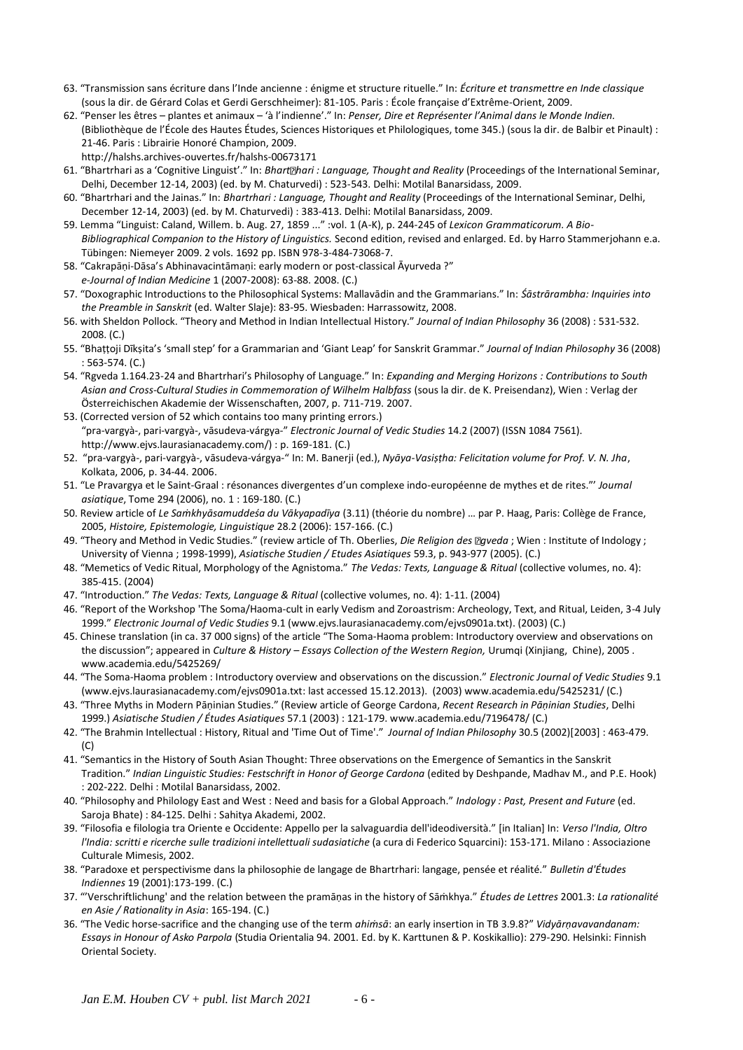- 63. "Transmission sans écriture dans l'Inde ancienne : énigme et structure rituelle." In: *Écriture et transmettre en Inde classique* (sous la dir. de Gérard Colas et Gerdi Gerschheimer): 81-105. Paris : École française d'Extrême-Orient, 2009.
- 62. "Penser les êtres plantes et animaux 'à l'indienne'." In: *Penser, Dire et Représenter l'Animal dans le Monde Indien.* (Bibliothèque de l'École des Hautes Études, Sciences Historiques et Philologiques, tome 345.) (sous la dir. de Balbir et Pinault) : 21-46. Paris : Librairie Honoré Champion, 2009. http://halshs.archives-ouvertes.fr/halshs-00673171
- 61. "Bhartrhari as a 'Cognitive Linguist'." In: Bhart *Dhari* : Language, Thought and Reality (Proceedings of the International Seminar, Delhi, December 12-14, 2003) (ed. by M. Chaturvedi) : 523-543. Delhi: Motilal Banarsidass, 2009.
- 60. "Bhartrhari and the Jainas." In: *Bhartrhari : Language, Thought and Reality* (Proceedings of the International Seminar, Delhi, December 12-14, 2003) (ed. by M. Chaturvedi) : 383-413. Delhi: Motilal Banarsidass, 2009.
- 59. Lemma "Linguist: Caland, Willem. b. Aug. 27, 1859 ..." :vol. 1 (A-K), p. 244-245 of *Lexicon Grammaticorum. A Bio-Bibliographical Companion to the History of Linguistics.* Second edition, revised and enlarged. Ed. by Harro Stammerjohann e.a. Tübingen: Niemeyer 2009. 2 vols. 1692 pp. ISBN 978-3-484-73068-7.
- 58. "Cakrapāṇi-Dāsa's Abhinavacintāmaṇi: early modern or post-classical Āyurveda ?" *e-Journal of Indian Medicine* 1 (2007-2008): 63-88. 2008. (C.)
- 57. "Doxographic Introductions to the Philosophical Systems: Mallavādin and the Grammarians." In: *Śāstrārambha: Inquiries into the Preamble in Sanskrit* (ed. Walter Slaje): 83-95. Wiesbaden: Harrassowitz, 2008.
- 56. with Sheldon Pollock. "Theory and Method in Indian Intellectual History." *Journal of Indian Philosophy* 36 (2008) : 531-532. 2008. (C.)
- 55. "Bhaṭṭoji Dīkṣita's 'small step' for a Grammarian and 'Giant Leap' for Sanskrit Grammar." *Journal of Indian Philosophy* 36 (2008) : 563-574. (C.)
- 54. "Rgveda 1.164.23-24 and Bhartrhari's Philosophy of Language." In: *Expanding and Merging Horizons : Contributions to South Asian and Cross-Cultural Studies in Commemoration of Wilhelm Halbfass* (sous la dir. de K. Preisendanz), Wien : Verlag der Österreichischen Akademie der Wissenschaften, 2007, p. 711-719. 2007.
- 53. (Corrected version of 52 which contains too many printing errors.) "pra-vargyà-, pari-vargyà-, vāsudeva-várgya-" *Electronic Journal of Vedic Studies* 14.2 (2007) (ISSN 1084 7561). http://www.ejvs.laurasianacademy.com/) : p. 169-181. (C.)
- 52. "pra-vargyà-, pari-vargyà-, vāsudeva-várgya-" In: M. Banerji (ed.), *Nyāya-Vasiṣṭha: Felicitation volume for Prof. V. N. Jha*, Kolkata, 2006, p. 34-44. 2006.
- 51. "Le Pravargya et le Saint-Graal : résonances divergentes d'un complexe indo-européenne de mythes et de rites."' *Journal asiatique*, Tome 294 (2006), no. 1 : 169-180. (C.)
- 50. Review article of *Le Saṁkhyāsamuddeśa du Vākyapadīya* (3.11) (théorie du nombre) … par P. Haag, Paris: Collège de France, 2005, *Histoire, Epistemologie, Linguistique* 28.2 (2006): 157-166. (C.)
- 49. "Theory and Method in Vedic Studies." (review article of Th. Oberlies, *Die Religion des Egveda*; Wien : Institute of Indology; University of Vienna ; 1998-1999), *Asiatische Studien / Etudes Asiatiques* 59.3, p. 943-977 (2005). (C.)
- 48. "Memetics of Vedic Ritual, Morphology of the Agnistoma." *The Vedas: Texts, Language & Ritual* (collective volumes, no. 4): 385-415. (2004)
- 47. "Introduction." *The Vedas: Texts, Language & Ritual* (collective volumes, no. 4): 1-11. (2004)
- 46. "Report of the Workshop 'The Soma/Haoma-cult in early Vedism and Zoroastrism: Archeology, Text, and Ritual, Leiden, 3-4 July 1999." *Electronic Journal of Vedic Studies* 9.1 (www.ejvs.laurasianacademy.com/ejvs0901a.txt). (2003) (C.)
- 45. Chinese translation (in ca. 37 000 signs) of the article "The Soma-Haoma problem: Introductory overview and observations on the discussion"; appeared in *Culture & History – Essays Collection of the Western Region,* Urumqi (Xinjiang, Chine), 2005 . www.academia.edu/5425269/
- 44. "The Soma-Haoma problem : Introductory overview and observations on the discussion." *Electronic Journal of Vedic Studies* 9.1 (www.ejvs.laurasianacademy.com/ejvs0901a.txt: last accessed 15.12.2013). (2003) www.academia.edu/5425231/ (C.)
- 43. "Three Myths in Modern Pāṇinian Studies." (Review article of George Cardona, *Recent Research in Pāṇinian Studies*, Delhi 1999.) *Asiatische Studien / Études Asiatiques* 57.1 (2003) : 121-179. www.academia.edu/7196478/ (C.)
- 42. "The Brahmin Intellectual : History, Ritual and 'Time Out of Time'." *Journal of Indian Philosophy* 30.5 (2002)[2003] : 463-479. (C)
- 41. "Semantics in the History of South Asian Thought: Three observations on the Emergence of Semantics in the Sanskrit Tradition." *Indian Linguistic Studies: Festschrift in Honor of George Cardona* (edited by Deshpande, Madhav M., and P.E. Hook) : 202-222. Delhi : Motilal Banarsidass, 2002.
- 40. "Philosophy and Philology East and West : Need and basis for a Global Approach." *Indology : Past, Present and Future* (ed. Saroja Bhate) : 84-125. Delhi : Sahitya Akademi, 2002.
- 39. "Filosofia e filologia tra Oriente e Occidente: Appello per la salvaguardia dell'ideodiversità." [in Italian] In: *Verso l'India, Oltro l'India: scritti e ricerche sulle tradizioni intellettuali sudasiatiche* (a cura di Federico Squarcini): 153-171. Milano : Associazione Culturale Mimesis, 2002.
- 38. "Paradoxe et perspectivisme dans la philosophie de langage de Bhartrhari: langage, pensée et réalité." *Bulletin d'Études Indiennes* 19 (2001):173-199. (C.)
- 37. "'Verschriftlichung' and the relation between the pramāṇas in the history of Sāṁkhya." *Études de Lettres* 2001.3: *La rationalité en Asie / Rationality in Asia*: 165-194. (C.)
- 36. "The Vedic horse-sacrifice and the changing use of the term *ahiṁsā*: an early insertion in TB 3.9.8?" *Vidyārṇavavandanam: Essays in Honour of Asko Parpola* (Studia Orientalia 94. 2001. Ed. by K. Karttunen & P. Koskikallio): 279-290. Helsinki: Finnish Oriental Society.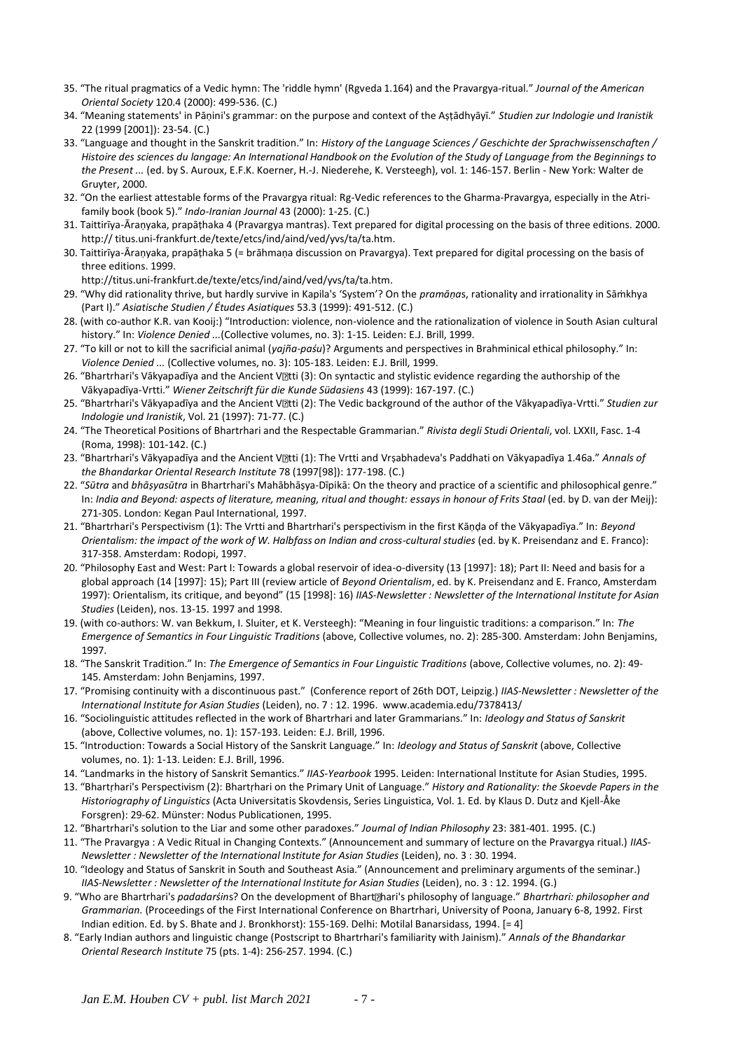- 35. "The ritual pragmatics of a Vedic hymn: The 'riddle hymn' (Rgveda 1.164) and the Pravargya-ritual." *Journal of the American Oriental Society* 120.4 (2000): 499-536. (C.)
- 34. "Meaning statements' in Pāṇini's grammar: on the purpose and context of the Aṣṭādhyāyī." *Studien zur Indologie und Iranistik* 22 (1999 [2001]): 23-54. (C.)
- 33. "Language and thought in the Sanskrit tradition." In: *History of the Language Sciences / Geschichte der Sprachwissenschaften / Histoire des sciences du langage: An International Handbook on the Evolution of the Study of Language from the Beginnings to the Present ...* (ed. by S. Auroux, E.F.K. Koerner, H.-J. Niederehe, K. Versteegh), vol. 1: 146-157. Berlin - New York: Walter de Gruyter, 2000.
- 32. "On the earliest attestable forms of the Pravargya ritual: Rg-Vedic references to the Gharma-Pravargya, especially in the Atrifamily book (book 5)." *Indo-Iranian Journal* 43 (2000): 1-25. (C.)
- 31. Taittirīya-Āraṇyaka, prapāṭhaka 4 (Pravargya mantras). Text prepared for digital processing on the basis of three editions. 2000. http:// titus.uni-frankfurt.de/texte/etcs/ind/aind/ved/yvs/ta/ta.htm.
- 30. Taittirīya-Āraṇyaka, prapāṭhaka 5 (= brāhmaṇa discussion on Pravargya). Text prepared for digital processing on the basis of three editions. 1999.

http://titus.uni-frankfurt.de/texte/etcs/ind/aind/ved/yvs/ta/ta.htm.

- 29. "Why did rationality thrive, but hardly survive in Kapila's 'System'? On the *pramāṇa*s, rationality and irrationality in Sāṁkhya (Part I)." *Asiatische Studien / Études Asiatiques* 53.3 (1999): 491-512. (C.)
- 28. (with co-author K.R. van Kooij:) "Introduction: violence, non-violence and the rationalization of violence in South Asian cultural history." In: *Violence Denied ...*(Collective volumes, no. 3): 1-15. Leiden: E.J. Brill, 1999.
- 27. "To kill or not to kill the sacrificial animal (*yajña-paśu*)? Arguments and perspectives in Brahminical ethical philosophy." In: *Violence Denied ...* (Collective volumes, no. 3): 105-183. Leiden: E.J. Brill, 1999.
- 26. "Bhartrhari's Vākyapadīya and the Ancient Vatti (3): On syntactic and stylistic evidence regarding the authorship of the Vākyapadīya-Vrtti." *Wiener Zeitschrift für die Kunde Südasiens* 43 (1999): 167-197. (C.)
- 25. "Bhartrhari's Vākyapadīya and the Ancient V**atti (2): The Vedic background of the author** of the Vākyapadīya-Vrtti." Studien zur *Indologie und Iranistik*, Vol. 21 (1997): 71-77. (C.)
- 24. "The Theoretical Positions of Bhartrhari and the Respectable Grammarian." *Rivista degli Studi Orientali*, vol. LXXII, Fasc. 1-4 (Roma, 1998): 101-142. (C.)
- 23. "Bhartrhari's Vākyapadīya and the Ancient V**lltti (1): The Vrtti and Vrsabhadeva's Paddhati** on Vākyapadīya 1.46a." Annals of *the Bhandarkar Oriental Research Institute* 78 (1997[98]): 177-198. (C.)
- 22. "*Sūtra* and *bhāṣyasūtra* in Bhartrhari's Mahābhāṣya-Dīpikā: On the theory and practice of a scientific and philosophical genre." In: *India and Beyond: aspects of literature, meaning, ritual and thought: essays in honour of Frits Staal* (ed. by D. van der Meij): 271-305. London: Kegan Paul International, 1997.
- 21. "Bhartrhari's Perspectivism (1): The Vrtti and Bhartrhari's perspectivism in the first Kāṇḍa of the Vākyapadīya." In: *Beyond Orientalism: the impact of the work of W. Halbfass on Indian and cross-cultural studies* (ed. by K. Preisendanz and E. Franco): 317-358. Amsterdam: Rodopi, 1997.
- 20. "Philosophy East and West: Part I: Towards a global reservoir of idea-o-diversity (13 [1997]: 18); Part II: Need and basis for a global approach (14 [1997]: 15); Part III (review article of *Beyond Orientalism*, ed. by K. Preisendanz and E. Franco, Amsterdam 1997): Orientalism, its critique, and beyond" (15 [1998]: 16) *IIAS-Newsletter : Newsletter of the International Institute for Asian Studies* (Leiden), nos. 13-15. 1997 and 1998.
- 19. (with co-authors: W. van Bekkum, I. Sluiter, et K. Versteegh): "Meaning in four linguistic traditions: a comparison." In: *The Emergence of Semantics in Four Linguistic Traditions* (above, Collective volumes, no. 2): 285-300. Amsterdam: John Benjamins, 1997.
- 18. "The Sanskrit Tradition." In: *The Emergence of Semantics in Four Linguistic Traditions* (above, Collective volumes, no. 2): 49- 145. Amsterdam: John Benjamins, 1997.
- 17. "Promising continuity with a discontinuous past." (Conference report of 26th DOT, Leipzig.) *IIAS-Newsletter : Newsletter of the International Institute for Asian Studies* (Leiden), no. 7 : 12. 1996. www.academia.edu/7378413/
- 16. "Sociolinguistic attitudes reflected in the work of Bhartrhari and later Grammarians." In: *Ideology and Status of Sanskrit* (above, Collective volumes, no. 1): 157-193. Leiden: E.J. Brill, 1996.
- 15. "Introduction: Towards a Social History of the Sanskrit Language." In: *Ideology and Status of Sanskrit* (above, Collective volumes, no. 1): 1-13. Leiden: E.J. Brill, 1996.
- 14. "Landmarks in the history of Sanskrit Semantics." *IIAS-Yearbook* 1995. Leiden: International Institute for Asian Studies, 1995.
- 13. "Bhartṛhari's Perspectivism (2): Bhartṛhari on the Primary Unit of Language." *History and Rationality: the Skoevde Papers in the Historiography of Linguistics* (Acta Universitatis Skovdensis, Series Linguistica, Vol. 1. Ed. by Klaus D. Dutz and Kjell-Åke Forsgren): 29-62. Münster: Nodus Publicationen, 1995.
- 12. "Bhartrhari's solution to the Liar and some other paradoxes." *Journal of Indian Philosophy* 23: 381-401. 1995. (C.)
- 11. "The Pravargya : A Vedic Ritual in Changing Contexts." (Announcement and summary of lecture on the Pravargya ritual.) *IIAS-Newsletter : Newsletter of the International Institute for Asian Studies* (Leiden), no. 3 : 30. 1994.
- 10. "Ideology and Status of Sanskrit in South and Southeast Asia." (Announcement and preliminary arguments of the seminar.) *IIAS-Newsletter : Newsletter of the International Institute for Asian Studies* (Leiden), no. 3 : 12. 1994. (G.)
- 9. "Who are Bhartrhari's *padadarśins?* On the development of Bhart [[hari's philosophy of language." *Bhartrhari: philosopher and Grammarian.* (Proceedings of the First International Conference on Bhartrhari, University of Poona, January 6-8, 1992. First Indian edition. Ed. by S. Bhate and J. Bronkhorst): 155-169. Delhi: Motilal Banarsidass, 1994. [= 4]
- 8. "Early Indian authors and linguistic change (Postscript to Bhartrhari's familiarity with Jainism)." *Annals of the Bhandarkar Oriental Research Institute* 75 (pts. 1-4): 256-257. 1994. (C.)